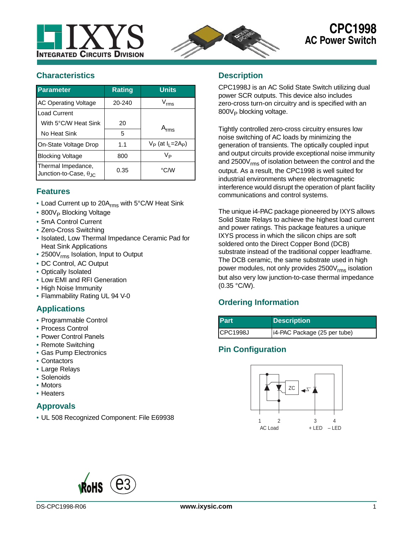



## **CPC1998 AC Power Switch**

## **Characteristics**

| <b>Parameter</b>                                      | Rating | <b>Units</b>                |
|-------------------------------------------------------|--------|-----------------------------|
| <b>AC Operating Voltage</b>                           | 20-240 | $\mathsf{V}_{\mathsf{rms}}$ |
| <b>Load Current</b>                                   |        |                             |
| With 5°C/W Heat Sink                                  | 20     |                             |
| No Heat Sink                                          | 5      | $A_{rms}$                   |
| On-State Voltage Drop                                 | 1.1    | $V_P$ (at $I_L = 2A_P$ )    |
| <b>Blocking Voltage</b>                               | 800    | Vь                          |
| Thermal Impedance,<br>Junction-to-Case, $\theta_{JC}$ | 0.35   | °C∕W                        |

## **Features**

- Load Current up to 20A<sub>rms</sub> with 5°C/W Heat Sink
- 800V<sub>P</sub> Blocking Voltage
- **•** 5mA Control Current
- **•** Zero-Cross Switching
- **•** Isolated, Low Thermal Impedance Ceramic Pad for Heat Sink Applications
- 2500V<sub>rms</sub> Isolation, Input to Output
- **•** DC Control, AC Output
- **•** Optically Isolated
- **•** Low EMI and RFI Generation
- **•** High Noise Immunity
- **•** Flammability Rating UL 94 V-0

## **Applications**

- **•** Programmable Control
- **•** Process Control
- **•** Power Control Panels
- **•** Remote Switching
- **•** Gas Pump Electronics
- **•** Contactors
- **•** Large Relays
- **•** Solenoids
- **•** Motors
- **•** Heaters

## **Approvals**

**•** UL 508 Recognized Component: File E69938

## **Description**

CPC1998J is an AC Solid State Switch utilizing dual power SCR outputs. This device also includes zero-cross turn-on circuitry and is specified with an  $800V<sub>P</sub>$  blocking voltage.

Tightly controlled zero-cross circuitry ensures low noise switching of AC loads by minimizing the generation of transients. The optically coupled input and output circuits provide exceptional noise immunity and  $2500V<sub>rms</sub>$  of isolation between the control and the output. As a result, the CPC1998 is well suited for industrial environments where electromagnetic interference would disrupt the operation of plant facility communications and control systems.

The unique i4-PAC package pioneered by IXYS allows Solid State Relays to achieve the highest load current and power ratings. This package features a unique IXYS process in which the silicon chips are soft soldered onto the Direct Copper Bond (DCB) substrate instead of the traditional copper leadframe. The DCB ceramic, the same substrate used in high power modules, not only provides  $2500V<sub>rms</sub>$  isolation but also very low junction-to-case thermal impedance (0.35 °C/W).

## **Ordering Information**

| <b>Part</b> | <b>Description</b>           |
|-------------|------------------------------|
| CPC1998J    | i4-PAC Package (25 per tube) |

## **Pin Configuration**



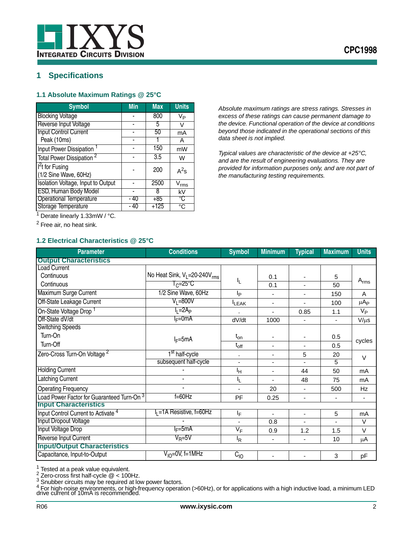## **1 Specifications**

#### **1.1 Absolute Maximum Ratings @ 25°C**

| <b>Symbol</b>                                        | <b>Min</b> | <b>Max</b> | <b>Units</b>   |
|------------------------------------------------------|------------|------------|----------------|
| <b>Blocking Voltage</b>                              |            | 800        | V <sub>Р</sub> |
| Reverse Input Voltage                                |            | 5          | V              |
| <b>Input Control Current</b>                         |            | 50         | mA             |
| Peak (10ms)                                          |            |            | Α              |
| Input Power Dissipation <sup>1</sup>                 |            | 150        | mW             |
| Total Power Dissipation <sup>2</sup>                 |            | 3.5        | W              |
| 1 <sup>2</sup> t for Fusing<br>(1/2 Sine Wave, 60Hz) |            | 200        | $A^2S$         |
| Isolation Voltage, Input to Output                   |            | 2500       | $V_{\rm rms}$  |
| ESD, Human Body Model                                |            | 8          | kV             |
| <b>Operational Temperature</b>                       | - 40       | $+85$      | °C             |
| Storage Temperature                                  | 40         | $+125$     | °C             |

1 Derate linearly 1.33mW / °C.

2 Free air, no heat sink.

#### **1.2 Electrical Characteristics @ 25°C**

*Absolute maximum ratings are stress ratings. Stresses in excess of these ratings can cause permanent damage to the device. Functional operation of the device at conditions beyond those indicated in the operational sections of this data sheet is not implied.* 

*Typical values are characteristic of the device at +25°C, and are the result of engineering evaluations. They are provided for information purposes only, and are not part of the manufacturing testing requirements.*

| <b>Parameter</b>                                      | <b>Conditions</b>                      | <b>Symbol</b>            | <b>Minimum</b>           | <b>Typical</b>               | <b>Maximum</b> | <b>Units</b>             |
|-------------------------------------------------------|----------------------------------------|--------------------------|--------------------------|------------------------------|----------------|--------------------------|
| <b>Output Characteristics</b>                         |                                        |                          |                          |                              |                |                          |
| Load Current                                          |                                        |                          |                          |                              |                |                          |
| Continuous                                            | No Heat Sink, $V_1 = 20 - 240 V_{rms}$ | I <sub>L</sub>           | 0.1                      |                              | 5              |                          |
| Continuous                                            | T <sub>C</sub> =25°C                   |                          | 0.1                      | ÷,                           | 50             | $A_{rms}$                |
| Maximum Surge Current                                 | 1/2 Sine Wave, 60Hz                    | Ιp                       |                          |                              | 150            | A                        |
| Off-State Leakage Current                             | $V_1 = 800V$                           | <b>ILEAK</b>             | $\overline{\phantom{a}}$ |                              | 100            | μA <sub>P</sub>          |
| On-State Voltage Drop <sup>1</sup>                    | l <sub>l</sub> =2A <sub>P</sub>        |                          |                          | 0.85                         | 1.1            | $V_{\mathsf{P}}$         |
| Off-State dV/dt                                       | l <sub>F</sub> =0mA                    | dV/dt                    | 1000                     |                              |                | $V/\mu s$                |
| <b>Switching Speeds</b>                               |                                        |                          |                          |                              |                |                          |
| Turn-On                                               | $I_F = 5mA$                            | $t_{on}$                 |                          |                              | 0.5            |                          |
| Turn-Off                                              |                                        | $t_{off}$                | -                        | $\qquad \qquad \blacksquare$ | 0.5            | cycles                   |
| Zero-Cross Turn-On Voltage <sup>2</sup>               | 1 <sup>st</sup> half-cycle             | $\overline{\phantom{a}}$ | $\overline{\phantom{a}}$ | 5                            | 20             | $\vee$                   |
|                                                       | subsequent half-cycle                  | $\overline{\phantom{a}}$ |                          |                              | 5              |                          |
| <b>Holding Current</b>                                |                                        | ŀн                       | ۰                        | 44                           | 50             | mA                       |
| Latching Current                                      | ÷.                                     | $\mathsf{I}_\mathsf{L}$  |                          | 48                           | 75             | mA                       |
| <b>Operating Frequency</b>                            |                                        | $\overline{\phantom{a}}$ | 20                       | $\overline{\phantom{a}}$     | 500            | Hz                       |
| Load Power Factor for Guaranteed Turn-On <sup>3</sup> | $f=60$ Hz                              | PF                       | 0.25                     | $\overline{\phantom{a}}$     |                | $\overline{\phantom{a}}$ |
| <b>Input Characteristics</b>                          |                                        |                          |                          |                              |                |                          |
| Input Control Current to Activate <sup>4</sup>        | $I_1 = 1A$ Resistive, f=60Hz           | ΙF                       | $\blacksquare$           | $\qquad \qquad \blacksquare$ | 5              | mA                       |
| <b>Input Dropout Voltage</b>                          |                                        |                          | 0.8                      |                              |                | $\vee$                   |
| Input Voltage Drop                                    | $I_F = 5mA$                            | $V_F$                    | 0.9                      | 1.2                          | 1.5            | $\vee$                   |
| Reverse Input Current                                 | $V_R = 5V$                             | ΙR                       | $\overline{\phantom{a}}$ |                              | 10             | μA                       |
| <b>Input/Output Characteristics</b>                   |                                        |                          |                          |                              |                |                          |
| Capacitance, Input-to-Output                          | $V_{10} = 0V$ , f=1MHz                 | $C_{10}$                 |                          |                              | $\mathbf{3}$   | pF                       |

 $\frac{1}{6}$  Tested at a peak value equivalent.

 $\frac{2}{3}$  Zero-cross first half-cycle  $\frac{2}{3}$  < 100Hz.

<sup>3</sup> Snubber circuits may be required at low power factors.<br><sup>4</sup> For high-noise environments, or high-frequency operation (>60Hz), or for applications with a high inductive load, a minimum LED<br>drive current of 10mA is recomm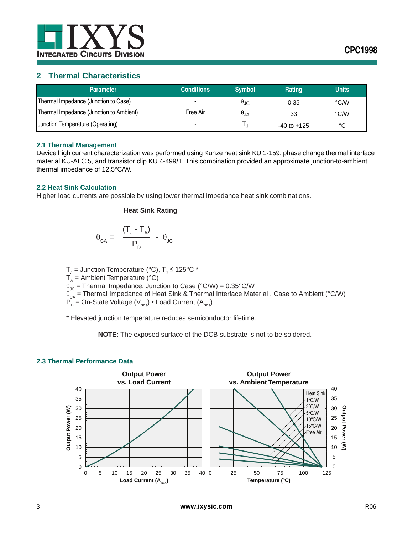

### **2 Thermal Characteristics**

| <b>Parameter</b>                        | <b>Conditions</b> | <b>Symbol</b> | Rating          | <b>Units</b> |
|-----------------------------------------|-------------------|---------------|-----------------|--------------|
| Thermal Impedance (Junction to Case)    |                   | AΊC           | 0.35            | °C/W         |
| Thermal Impedance (Junction to Ambient) | Free Air          | $\theta_{JA}$ | 33              | °C/W         |
| Junction Temperature (Operating)        |                   |               | $-40$ to $+125$ | $\sim$       |

#### **2.1 Thermal Management**

Device high current characterization was performed using Kunze heat sink KU 1-159, phase change thermal interface material KU-ALC 5, and transistor clip KU 4-499/1. This combination provided an approximate junction-to-ambient thermal impedance of 12.5°C/W.

#### **2.2 Heat Sink Calculation**

Higher load currents are possible by using lower thermal impedance heat sink combinations.

#### **Heat Sink Rating**

$$
\theta_{\text{CA}} = \frac{(\mathsf{T}_{\text{J}} - \mathsf{T}_{\text{A}})}{\mathsf{P}_{\text{D}}} - \theta_{\text{JC}}
$$

 $T_{j}$  = Junction Temperature (°C),  $T_{j}$  ≤ 125°C \*  $T_{\text{A}}$  = Ambient Temperature (°C)  $\hat{\theta}_{\text{IC}}$  = Thermal Impedance, Junction to Case (°C/W) = 0.35°C/W  $\widetilde{\theta_{CA}}$  = Thermal Impedance of Heat Sink & Thermal Interface Material , Case to Ambient (°C/W)  $\overline{P}_D^{\text{max}}$  = On-State Voltage (V<sub>rms</sub>) • Load Current (A<sub>rms</sub>)

\* Elevated junction temperature reduces semiconductor lifetime.

 **NOTE:** The exposed surface of the DCB substrate is not to be soldered.

#### **2.3 Thermal Performance Data**

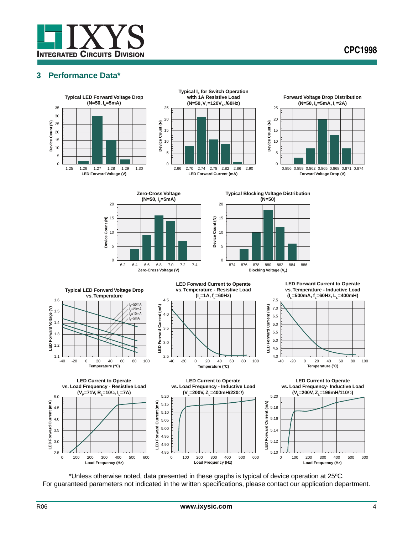

**CPC1998**

## **3 Performance Data\***















**Temperature (ºC)** -40 -20 0 20 40 60 80 100







\*Unless otherwise noted, data presented in these graphs is typical of device operation at 25ºC. For guaranteed parameters not indicated in the written specifications, please contact our application department.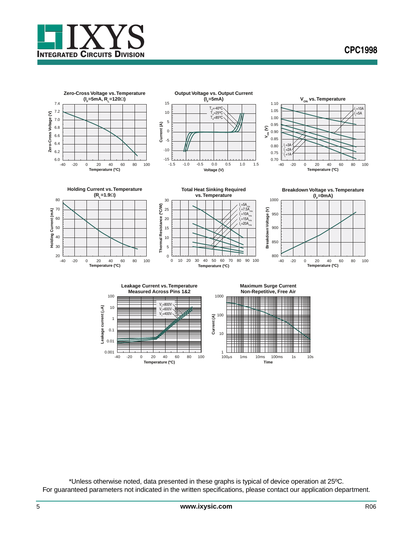

**CPC1998**













╥



\*Unless otherwise noted, data presented in these graphs is typical of device operation at 25ºC. For guaranteed parameters not indicated in the written specifications, please contact our application department.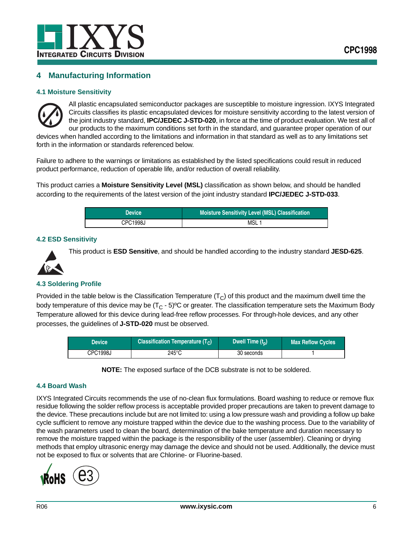## **4 Manufacturing Information**

#### **4.1 Moisture Sensitivity**



All plastic encapsulated semiconductor packages are susceptible to moisture ingression. IXYS Integrated Circuits classifies its plastic encapsulated devices for moisture sensitivity according to the latest version of the joint industry standard, **IPC/JEDEC J-STD-020**, in force at the time of product evaluation. We test all of our products to the maximum conditions set forth in the standard, and guarantee proper operation of our devices when handled according to the limitations and information in that standard as well as to any limitations set

forth in the information or standards referenced below.

Failure to adhere to the warnings or limitations as established by the listed specifications could result in reduced product performance, reduction of operable life, and/or reduction of overall reliability.

This product carries a **Moisture Sensitivity Level (MSL)** classification as shown below, and should be handled according to the requirements of the latest version of the joint industry standard **IPC/JEDEC J-STD-033**.

| <b>Device</b>   | <b>Moisture Sensitivity Level (MSL) Classification</b> |
|-----------------|--------------------------------------------------------|
| <b>CPC1998J</b> | MSL                                                    |

#### **4.2 ESD Sensitivity**



This product is **ESD Sensitive**, and should be handled according to the industry standard **JESD-625**.

#### **4.3 Soldering Profile**

Provided in the table below is the Classification Temperature  $(T<sub>C</sub>)$  of this product and the maximum dwell time the body temperature of this device may be  $(T_C - 5)^{\circ}C$  or greater. The classification temperature sets the Maximum Body Temperature allowed for this device during lead-free reflow processes. For through-hole devices, and any other processes, the guidelines of **J-STD-020** must be observed.

| Device   | <b>Classification Temperature <math>(T_C)</math></b> | Dwell Time $(t_n)$ | <b>Max Reflow Cycles</b> |
|----------|------------------------------------------------------|--------------------|--------------------------|
| CPC1998J | 245°C                                                | 30 seconds         |                          |

**NOTE:** The exposed surface of the DCB substrate is not to be soldered.

#### **4.4 Board Wash**

IXYS Integrated Circuits recommends the use of no-clean flux formulations. Board washing to reduce or remove flux residue following the solder reflow process is acceptable provided proper precautions are taken to prevent damage to the device. These precautions include but are not limited to: using a low pressure wash and providing a follow up bake cycle sufficient to remove any moisture trapped within the device due to the washing process. Due to the variability of the wash parameters used to clean the board, determination of the bake temperature and duration necessary to remove the moisture trapped within the package is the responsibility of the user (assembler). Cleaning or drying methods that employ ultrasonic energy may damage the device and should not be used. Additionally, the device must not be exposed to flux or solvents that are Chlorine- or Fluorine-based.

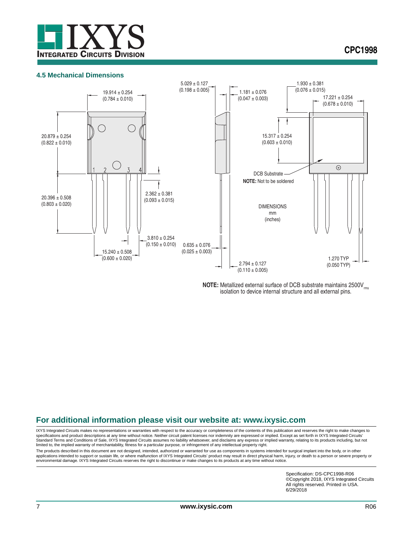

#### **4.5 Mechanical Dimensions**



**NOTE:** Metallized external surface of DCB substrate maintains 2500V<sub>rms</sub> isolation to device internal structure and all external pins.

## **For additional information please visit our website at: www.ixysic.com**

IXYS Integrated Circuits makes no representations or warranties with respect to the accuracy or completeness of the contents of this publication and reserves the right to make changes to specifications and product descriptions at any time without notice. Neither circuit patent licenses nor indemnity are expressed or implied. Except as set forth in IXYS Integrated Circuits' Standard Terms and Conditions of Sale, IXYS Integrated Circuits assumes no liability whatsoever, and disclaims any express or implied warranty, relating to its products including, but not limited to, the implied warranty of merchantability, fitness for a particular purpose, or infringement of any intellectual property right.

The products described in this document are not designed, intended, authorized or warranted for use as components in systems intended for surgical implant into the body, or in other applications intended to support or sustain life, or where malfunction of IXYS Integrated Circuits' product may result in direct physical harm, injury, or death to a person or severe property or<br>environmental damage. IXYS

> Specification: DS-CPC1998-R06 ©Copyright 2018, IXYS Integrated Circuits All rights reserved. Printed in USA. 6/29/2018